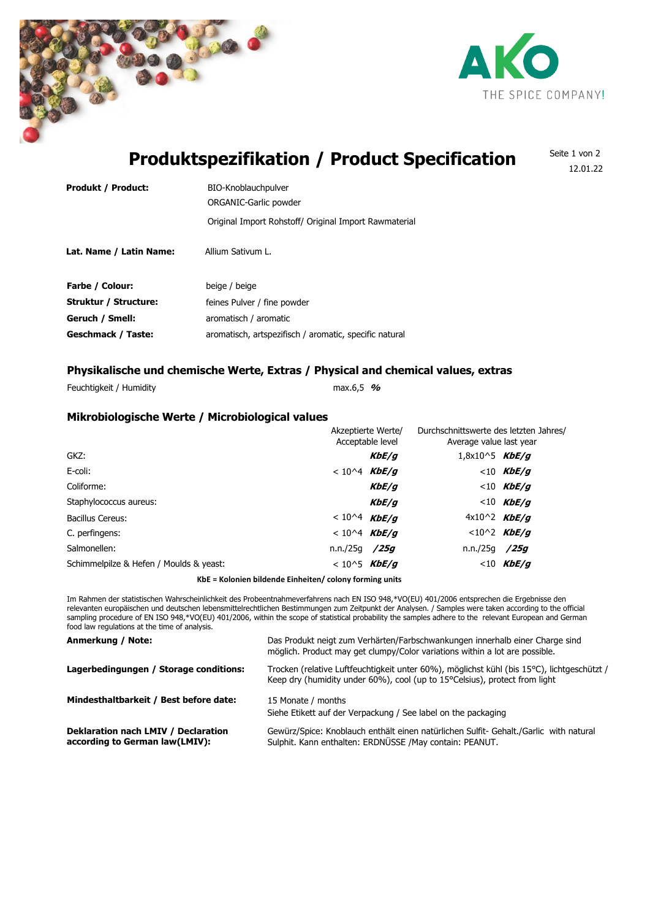



# **Produktspezifikation / Product Specification**

Seite 1 von 2 12.01.22

| <b>Produkt / Product:</b>    | BIO-Knoblauchpulver                                   |
|------------------------------|-------------------------------------------------------|
|                              | ORGANIC-Garlic powder                                 |
|                              | Original Import Rohstoff/ Original Import Rawmaterial |
| Lat. Name / Latin Name:      | Allium Sativum L.                                     |
| <b>Farbe / Colour:</b>       | beige / beige                                         |
| <b>Struktur / Structure:</b> | feines Pulver / fine powder                           |
| Geruch / Smell:              | aromatisch / aromatic                                 |

Geschmack / Taste: aromatisch, artspezifisch / aromatic, specific natural

## **Physikalische und chemische Werte, Extras / Physical and chemical values, extras**

Feuchtigkeit / Humidity max.6,5 **%**

### **Mikrobiologische Werte / Microbiological values**

|                                         | Akzeptierte Werte/<br>Acceptable level |       | Durchschnittswerte des letzten Jahres/<br>Average value last year |                |  |
|-----------------------------------------|----------------------------------------|-------|-------------------------------------------------------------------|----------------|--|
| GKZ:                                    |                                        | KbE/q | $1,8x10^5$ KbE/g                                                  |                |  |
| E-coli:                                 | $< 10^{4}$ KbE/g                       |       |                                                                   | $<$ 10 KbE/q   |  |
| Coliforme:                              |                                        | KbE/q |                                                                   | $< 10$ KbE/g   |  |
| Staphylococcus aureus:                  |                                        | KbE/q |                                                                   | $< 10$ KbE/g   |  |
| Bacillus Cereus:                        | < 10^4 <b>KbE/g</b>                    |       | $4x10^2$ KbE/g                                                    |                |  |
| C. perfingens:                          | $< 10^{4}$ KbE/g                       |       |                                                                   | $< 10^2$ KbE/g |  |
| Salmonellen:                            | n.n./25q /25g                          |       | n.n./25q /25g                                                     |                |  |
| Schimmelpilze & Hefen / Moulds & yeast: | < 10^5 <b>KbE/g</b>                    |       |                                                                   | $<$ 10 KbE/q   |  |
|                                         |                                        |       |                                                                   |                |  |

**KbE = Kolonien bildende Einheiten/ colony forming units**

Im Rahmen der statistischen Wahrscheinlichkeit des Probeentnahmeverfahrens nach EN ISO 948,\*VO(EU) 401/2006 entsprechen die Ergebnisse den relevanten europäischen und deutschen lebensmittelrechtlichen Bestimmungen zum Zeitpunkt der Analysen. / Samples were taken according to the official sampling procedure of EN ISO 948,\*VO(EU) 401/2006, within the scope of statistical probability the samples adhere to the relevant European and German food law regulations at the time of analysis.

| Anmerkung / Note:                                                     | Das Produkt neigt zum Verhärten/Farbschwankungen innerhalb einer Charge sind<br>möglich. Product may get clumpy/Color variations within a lot are possible.                             |
|-----------------------------------------------------------------------|-----------------------------------------------------------------------------------------------------------------------------------------------------------------------------------------|
| Lagerbedingungen / Storage conditions:                                | Trocken (relative Luftfeuchtigkeit unter 60%), möglichst kühl (bis 15°C), lichtgeschützt /<br>Keep dry (humidity under $60\%$ ), cool (up to 15 $^{\circ}$ Celsius), protect from light |
| Mindesthaltbarkeit / Best before date:                                | 15 Monate / months<br>Siehe Etikett auf der Verpackung / See label on the packaging                                                                                                     |
| Deklaration nach LMIV / Declaration<br>according to German law(LMIV): | Gewürz/Spice: Knoblauch enthält einen natürlichen Sulfit- Gehalt./Garlic with natural<br>Sulphit. Kann enthalten: ERDNÜSSE /May contain: PEANUT.                                        |